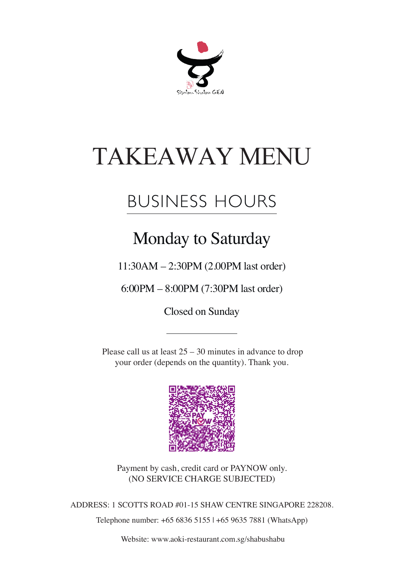

# TAKEAWAY MENU

# BUSINESS HOURS

### Monday to Saturday

11:30AM – 2:30PM (2.00PM last order)

6:00PM – 8:00PM (7:30PM last order)

Closed on Sunday

Please call us at least  $25 - 30$  minutes in advance to drop your order (depends on the quantity). Thank you.



Payment by cash, credit card or PAYNOW only. (NO SERVICE CHARGE SUBJECTED)

ADDRESS: 1 SCOTTS ROAD #01-15 SHAW CENTRE SINGAPORE 228208.

Telephone number: +65 6836 5155 | +65 9635 7881 (WhatsApp)

Website: www.aoki-restaurant.com.sg/shabushabu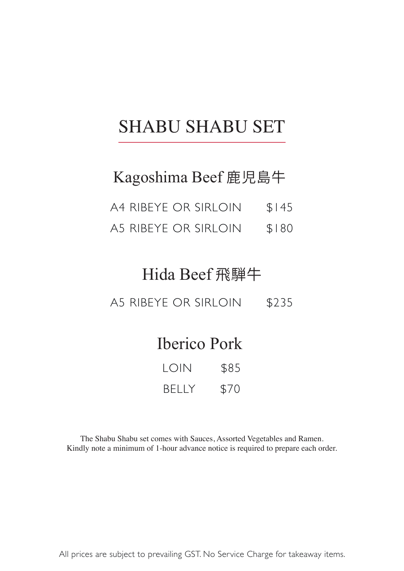### SHABU SHABU SET

#### Kagoshima Beef 鹿児島牛

- A4 RIBEYE OR SIRLOIN \$145
- A5 RIBEYE OR SIRLOIN \$180

#### Hida Beef 飛騨牛

A5 RIBEYE OR SIRLOIN \$235

#### Iberico Pork

| LOIN         | \$85 |
|--------------|------|
| <b>BELLY</b> | \$70 |

The Shabu Shabu set comes with Sauces, Assorted Vegetables and Ramen. Kindly note a minimum of 1-hour advance notice is required to prepare each order.

All prices are subject to prevailing GST. No Service Charge for takeaway items.